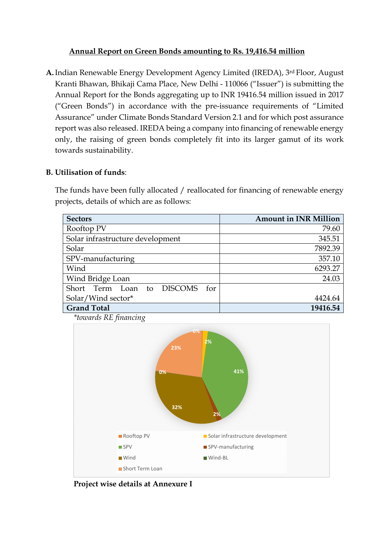### **Annual Report on Green Bonds amounting to Rs. 19,416.54 million**

**A.**Indian Renewable Energy Development Agency Limited (IREDA), 3rd Floor, August Kranti Bhawan, Bhikaji Cama Place, New Delhi - 110066 ("Issuer") is submitting the Annual Report for the Bonds aggregating up to INR 19416.54 million issued in 2017 ("Green Bonds") in accordance with the pre-issuance requirements of "Limited Assurance" under Climate Bonds Standard Version 2.1 and for which post assurance report was also released. IREDA being a company into financing of renewable energy only, the raising of green bonds completely fit into its larger gamut of its work towards sustainability.

## **B. Utilisation of funds**:

The funds have been fully allocated / reallocated for financing of renewable energy projects, details of which are as follows:

| <b>Sectors</b>                    | <b>Amount in INR Million</b> |
|-----------------------------------|------------------------------|
| Rooftop PV                        | 79.60                        |
| Solar infrastructure development  | 345.51                       |
| Solar                             | 7892.39                      |
| SPV-manufacturing                 | 357.10                       |
| Wind                              | 6293.27                      |
| Wind Bridge Loan                  | 24.03                        |
| Short Term Loan to DISCOMS<br>for |                              |
| Solar/Wind sector*                | 4424.64                      |
| <b>Grand Total</b>                | 19416.54                     |





**Project wise details at Annexure I**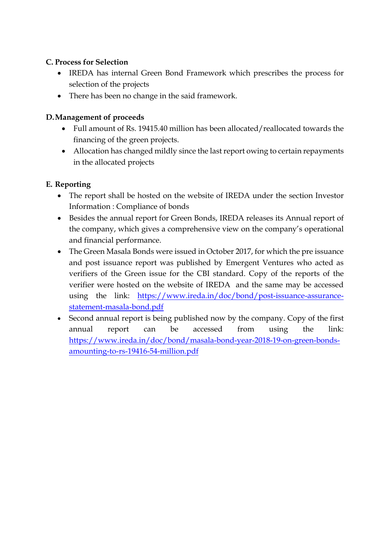## **C. Process for Selection**

- IREDA has internal Green Bond Framework which prescribes the process for selection of the projects
- There has been no change in the said framework.

# **D.Management of proceeds**

- Full amount of Rs. 19415.40 million has been allocated/reallocated towards the financing of the green projects.
- Allocation has changed mildly since the last report owing to certain repayments in the allocated projects

# **E. Reporting**

- The report shall be hosted on the website of IREDA under the section Investor Information : Compliance of bonds
- Besides the annual report for Green Bonds, IREDA releases its Annual report of the company, which gives a comprehensive view on the company's operational and financial performance.
- The Green Masala Bonds were issued in October 2017, for which the pre issuance and post issuance report was published by Emergent Ventures who acted as verifiers of the Green issue for the CBI standard. Copy of the reports of the verifier were hosted on the website of IREDA and the same may be accessed using the link: [https://www.ireda.in/doc/bond/post-issuance-assurance](https://www.ireda.in/doc/bond/post-issuance-assurance-statement-masala-bond.pdf)[statement-masala-bond.pdf](https://www.ireda.in/doc/bond/post-issuance-assurance-statement-masala-bond.pdf)
- Second annual report is being published now by the company. Copy of the first annual report can be accessed from using the link: [https://www.ireda.in/doc/bond/masala-bond-year-2018-19-on-green-bonds](https://www.ireda.in/doc/bond/masala-bond-year-2018-19-on-green-bonds-amounting-to-rs-19416-54-million.pdf)[amounting-to-rs-19416-54-million.pdf](https://www.ireda.in/doc/bond/masala-bond-year-2018-19-on-green-bonds-amounting-to-rs-19416-54-million.pdf)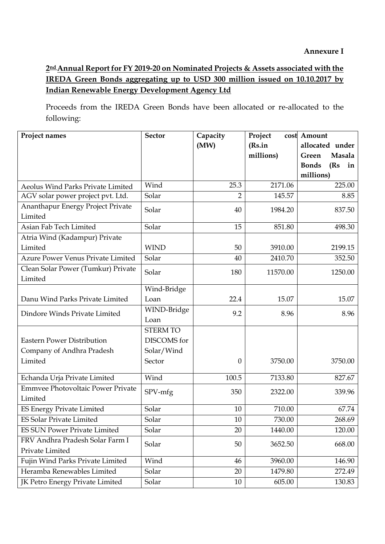**2ndAnnual Report for FY 2019-20 on Nominated Projects & Assets associated with the IREDA Green Bonds aggregating up to USD 300 million issued on 10.10.2017 by Indian Renewable Energy Development Agency Ltd**

Proceeds from the IREDA Green Bonds have been allocated or re-allocated to the following:

| Project names                            | <b>Sector</b>   | Capacity         | Project   | cost Amount                |
|------------------------------------------|-----------------|------------------|-----------|----------------------------|
|                                          |                 | (MW)             | (Rs.in    | allocated under            |
|                                          |                 |                  | millions) | Masala<br>Green            |
|                                          |                 |                  |           | <b>Bonds</b><br>(Rs)<br>in |
|                                          |                 |                  |           | millions)                  |
| Aeolus Wind Parks Private Limited        | Wind            | 25.3             | 2171.06   | 225.00                     |
| AGV solar power project pvt. Ltd.        | Solar           | $\overline{2}$   | 145.57    | 8.85                       |
| Ananthapur Energy Project Private        | Solar           | 40               | 1984.20   | 837.50                     |
| Limited                                  |                 |                  |           |                            |
| Asian Fab Tech Limited                   | Solar           | 15               | 851.80    | 498.30                     |
| Atria Wind (Kadampur) Private            |                 |                  |           |                            |
| Limited                                  | <b>WIND</b>     | 50               | 3910.00   | 2199.15                    |
| <b>Azure Power Venus Private Limited</b> | Solar           | 40               | 2410.70   | 352.50                     |
| Clean Solar Power (Tumkur) Private       | Solar           | 180              | 11570.00  | 1250.00                    |
| Limited                                  |                 |                  |           |                            |
|                                          | Wind-Bridge     |                  |           |                            |
| Danu Wind Parks Private Limited          | Loan            | 22.4             | 15.07     | 15.07                      |
| Dindore Winds Private Limited            | WIND-Bridge     | 9.2              | 8.96      | 8.96                       |
|                                          | Loan            |                  |           |                            |
|                                          | <b>STERM TO</b> |                  |           |                            |
| <b>Eastern Power Distribution</b>        | DISCOMS for     |                  |           |                            |
| Company of Andhra Pradesh                | Solar/Wind      |                  |           |                            |
| Limited                                  | Sector          | $\boldsymbol{0}$ | 3750.00   | 3750.00                    |
|                                          |                 |                  |           |                            |
| Echanda Urja Private Limited             | Wind            | 100.5            | 7133.80   | 827.67                     |
| <b>Emmvee Photovoltaic Power Private</b> | SPV-mfg         | 350              | 2322.00   | 339.96                     |
| Limited                                  |                 |                  |           |                            |
| ES Energy Private Limited                | Solar           | 10               | 710.00    | 67.74                      |
| ES Solar Private Limited                 | Solar           | 10               | 730.00    | 268.69                     |
| <b>ES SUN Power Private Limited</b>      | Solar           | 20               | 1440.00   | 120.00                     |
| FRV Andhra Pradesh Solar Farm I          | Solar           | 50               | 3652.50   | 668.00                     |
| Private Limited                          |                 |                  |           |                            |
| Fujin Wind Parks Private Limited         | Wind            | 46               | 3960.00   | 146.90                     |
| Heramba Renewables Limited               | Solar           | 20               | 1479.80   | 272.49                     |
| JK Petro Energy Private Limited          | Solar           | 10               | 605.00    | 130.83                     |